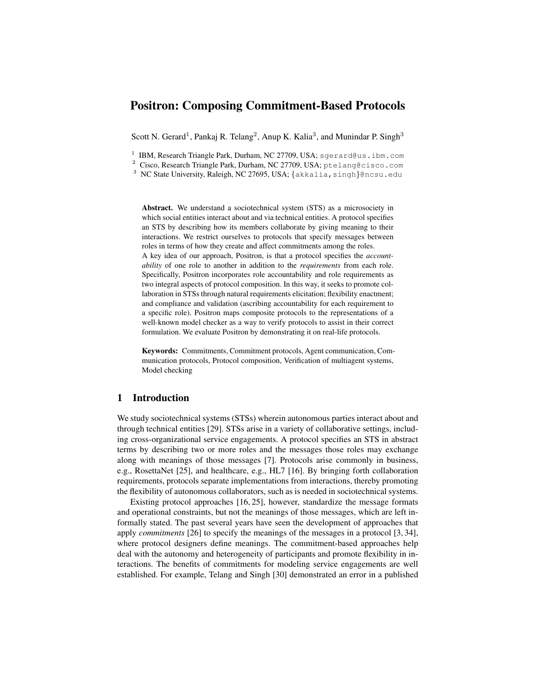# Positron: Composing Commitment-Based Protocols

Scott N. Gerard<sup>1</sup>, Pankaj R. Telang<sup>2</sup>, Anup K. Kalia<sup>3</sup>, and Munindar P. Singh<sup>3</sup>

<sup>1</sup> IBM, Research Triangle Park, Durham, NC 27709, USA; sgerard@us.ibm.com

<sup>2</sup> Cisco, Research Triangle Park, Durham, NC 27709, USA; ptelang@cisco.com

<sup>3</sup> NC State University, Raleigh, NC 27695, USA; {akkalia, singh}@ncsu.edu

Abstract. We understand a sociotechnical system (STS) as a microsociety in which social entities interact about and via technical entities. A protocol specifies an STS by describing how its members collaborate by giving meaning to their interactions. We restrict ourselves to protocols that specify messages between roles in terms of how they create and affect commitments among the roles. A key idea of our approach, Positron, is that a protocol specifies the *accountability* of one role to another in addition to the *requirements* from each role. Specifically, Positron incorporates role accountability and role requirements as two integral aspects of protocol composition. In this way, it seeks to promote collaboration in STSs through natural requirements elicitation; flexibility enactment; and compliance and validation (ascribing accountability for each requirement to a specific role). Positron maps composite protocols to the representations of a well-known model checker as a way to verify protocols to assist in their correct formulation. We evaluate Positron by demonstrating it on real-life protocols.

Keywords: Commitments, Commitment protocols, Agent communication, Communication protocols, Protocol composition, Verification of multiagent systems, Model checking

### 1 Introduction

We study sociotechnical systems (STSs) wherein autonomous parties interact about and through technical entities [29]. STSs arise in a variety of collaborative settings, including cross-organizational service engagements. A protocol specifies an STS in abstract terms by describing two or more roles and the messages those roles may exchange along with meanings of those messages [7]. Protocols arise commonly in business, e.g., RosettaNet [25], and healthcare, e.g., HL7 [16]. By bringing forth collaboration requirements, protocols separate implementations from interactions, thereby promoting the flexibility of autonomous collaborators, such as is needed in sociotechnical systems.

Existing protocol approaches [16, 25], however, standardize the message formats and operational constraints, but not the meanings of those messages, which are left informally stated. The past several years have seen the development of approaches that apply *commitments* [26] to specify the meanings of the messages in a protocol [3, 34], where protocol designers define meanings. The commitment-based approaches help deal with the autonomy and heterogeneity of participants and promote flexibility in interactions. The benefits of commitments for modeling service engagements are well established. For example, Telang and Singh [30] demonstrated an error in a published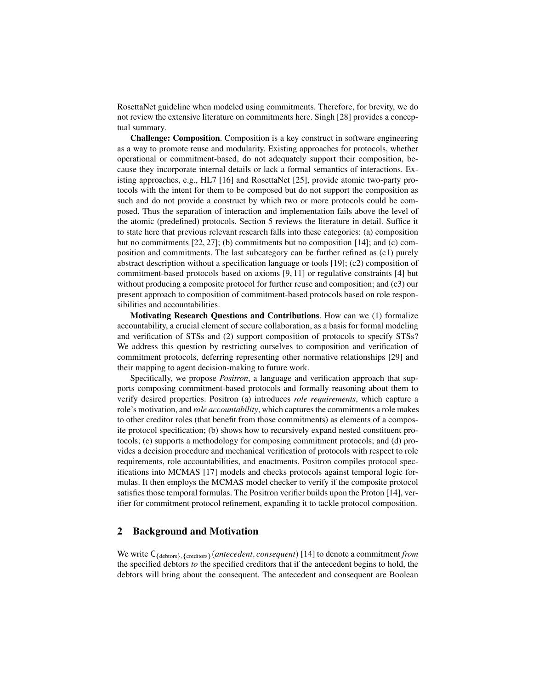RosettaNet guideline when modeled using commitments. Therefore, for brevity, we do not review the extensive literature on commitments here. Singh [28] provides a conceptual summary.

Challenge: Composition. Composition is a key construct in software engineering as a way to promote reuse and modularity. Existing approaches for protocols, whether operational or commitment-based, do not adequately support their composition, because they incorporate internal details or lack a formal semantics of interactions. Existing approaches, e.g., HL7 [16] and RosettaNet [25], provide atomic two-party protocols with the intent for them to be composed but do not support the composition as such and do not provide a construct by which two or more protocols could be composed. Thus the separation of interaction and implementation fails above the level of the atomic (predefined) protocols. Section 5 reviews the literature in detail. Suffice it to state here that previous relevant research falls into these categories: (a) composition but no commitments [22, 27]; (b) commitments but no composition [14]; and (c) composition and commitments. The last subcategory can be further refined as (c1) purely abstract description without a specification language or tools [19]; (c2) composition of commitment-based protocols based on axioms [9, 11] or regulative constraints [4] but without producing a composite protocol for further reuse and composition; and (c3) our present approach to composition of commitment-based protocols based on role responsibilities and accountabilities.

Motivating Research Questions and Contributions. How can we (1) formalize accountability, a crucial element of secure collaboration, as a basis for formal modeling and verification of STSs and (2) support composition of protocols to specify STSs? We address this question by restricting ourselves to composition and verification of commitment protocols, deferring representing other normative relationships [29] and their mapping to agent decision-making to future work.

Specifically, we propose *Positron*, a language and verification approach that supports composing commitment-based protocols and formally reasoning about them to verify desired properties. Positron (a) introduces *role requirements*, which capture a role's motivation, and *role accountability*, which captures the commitments a role makes to other creditor roles (that benefit from those commitments) as elements of a composite protocol specification; (b) shows how to recursively expand nested constituent protocols; (c) supports a methodology for composing commitment protocols; and (d) provides a decision procedure and mechanical verification of protocols with respect to role requirements, role accountabilities, and enactments. Positron compiles protocol specifications into MCMAS [17] models and checks protocols against temporal logic formulas. It then employs the MCMAS model checker to verify if the composite protocol satisfies those temporal formulas. The Positron verifier builds upon the Proton [14], verifier for commitment protocol refinement, expanding it to tackle protocol composition.

# 2 Background and Motivation

We write C{debtors},{creditors}(*antecedent*, *consequent*) [14] to denote a commitment *from* the specified debtors *to* the specified creditors that if the antecedent begins to hold, the debtors will bring about the consequent. The antecedent and consequent are Boolean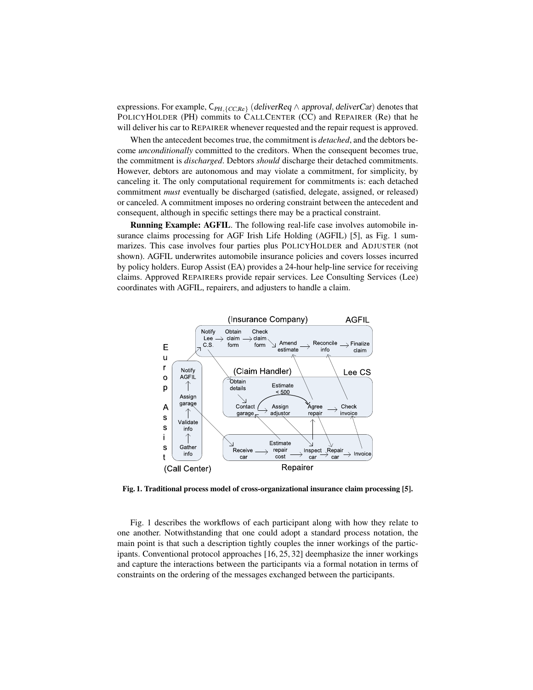expressions. For example,  $C_{PH, \{CC, Re\}}$  (deliverReq  $\wedge$  approval, deliverCar) denotes that POLICYHOLDER (PH) commits to CALLCENTER (CC) and REPAIRER (Re) that he will deliver his car to REPAIRER whenever requested and the repair request is approved.

When the antecedent becomes true, the commitment is *detached*, and the debtors become *unconditionally* committed to the creditors. When the consequent becomes true, the commitment is *discharged*. Debtors *should* discharge their detached commitments. However, debtors are autonomous and may violate a commitment, for simplicity, by canceling it. The only computational requirement for commitments is: each detached commitment *must* eventually be discharged (satisfied, delegate, assigned, or released) or canceled. A commitment imposes no ordering constraint between the antecedent and consequent, although in specific settings there may be a practical constraint.

Running Example: AGFIL. The following real-life case involves automobile insurance claims processing for AGF Irish Life Holding (AGFIL) [5], as Fig. 1 summarizes. This case involves four parties plus POLICYHOLDER and ADJUSTER (not shown). AGFIL underwrites automobile insurance policies and covers losses incurred by policy holders. Europ Assist (EA) provides a 24-hour help-line service for receiving claims. Approved REPAIRERs provide repair services. Lee Consulting Services (Lee) coordinates with AGFIL, repairers, and adjusters to handle a claim.



Fig. 1. Traditional process model of cross-organizational insurance claim processing [5].

Fig. 1 describes the workflows of each participant along with how they relate to one another. Notwithstanding that one could adopt a standard process notation, the main point is that such a description tightly couples the inner workings of the participants. Conventional protocol approaches [16, 25, 32] deemphasize the inner workings and capture the interactions between the participants via a formal notation in terms of constraints on the ordering of the messages exchanged between the participants.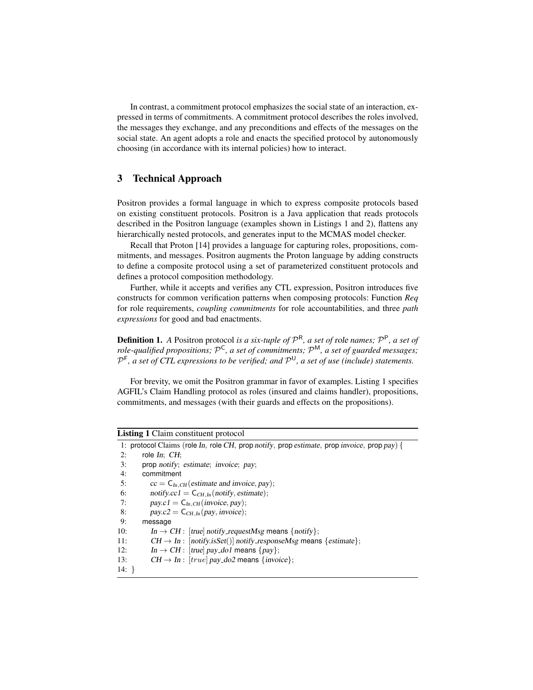In contrast, a commitment protocol emphasizes the social state of an interaction, expressed in terms of commitments. A commitment protocol describes the roles involved, the messages they exchange, and any preconditions and effects of the messages on the social state. An agent adopts a role and enacts the specified protocol by autonomously choosing (in accordance with its internal policies) how to interact.

## 3 Technical Approach

Positron provides a formal language in which to express composite protocols based on existing constituent protocols. Positron is a Java application that reads protocols described in the Positron language (examples shown in Listings 1 and 2), flattens any hierarchically nested protocols, and generates input to the MCMAS model checker.

Recall that Proton [14] provides a language for capturing roles, propositions, commitments, and messages. Positron augments the Proton language by adding constructs to define a composite protocol using a set of parameterized constituent protocols and defines a protocol composition methodology.

Further, while it accepts and verifies any CTL expression, Positron introduces five constructs for common verification patterns when composing protocols: Function *Req* for role requirements, *coupling commitments* for role accountabilities, and three *path expressions* for good and bad enactments.

**Definition 1.** A Positron protocol is a six-tuple of  $\mathcal{P}^R$ , a set of role names;  $\mathcal{P}^P$ , a set of *role-qualified propositions;* P C *, a set of commitments;* P <sup>M</sup>*, a set of guarded messages;*  $\mathcal{P}^{\mathsf{F}}$ , a set of CTL expressions to be verified; and  $\mathcal{P}^{\mathsf{U}}$ , a set of use (include) statements.

For brevity, we omit the Positron grammar in favor of examples. Listing 1 specifies AGFIL's Claim Handling protocol as roles (insured and claims handler), propositions, commitments, and messages (with their guards and effects on the propositions).

| <b>Listing 1 Claim constituent protocol</b>                                                    |  |
|------------------------------------------------------------------------------------------------|--|
| 1: protocol Claims (role In, role CH, prop notify, prop estimate, prop invoice, prop pay) {    |  |
| role $In:CH:$<br>2:                                                                            |  |
| 3:<br>prop notify; estimate; invoice; pay;                                                     |  |
| 4:<br>commitment                                                                               |  |
| 5:<br>$cc = C_{In,CH}$ (estimate and invoice, pay);                                            |  |
| notify.cc1 = $C_{CH,In}(notify, estimate);$<br>6:                                              |  |
| $pay.c1 = C_{In,CH}(invoice, pay);$<br>7:                                                      |  |
| $pay.c2 = C_{CH,In}(pay, invoice);$<br>8:                                                      |  |
| 9:<br>message                                                                                  |  |
| 10:<br>In $\rightarrow$ CH : [true] notify_requestMsg means {notify};                          |  |
| $CH \rightarrow In: [notify.isSet()] notify\_responseMsg \text{ means } \{ estimate\};$<br>11: |  |
| $In \rightarrow CH$ : [true] pay_do1 means {pay};<br>12:                                       |  |
| $CH \rightarrow In$ : [true] pay_do2 means {invoice};<br>13:                                   |  |
| $14:$ }                                                                                        |  |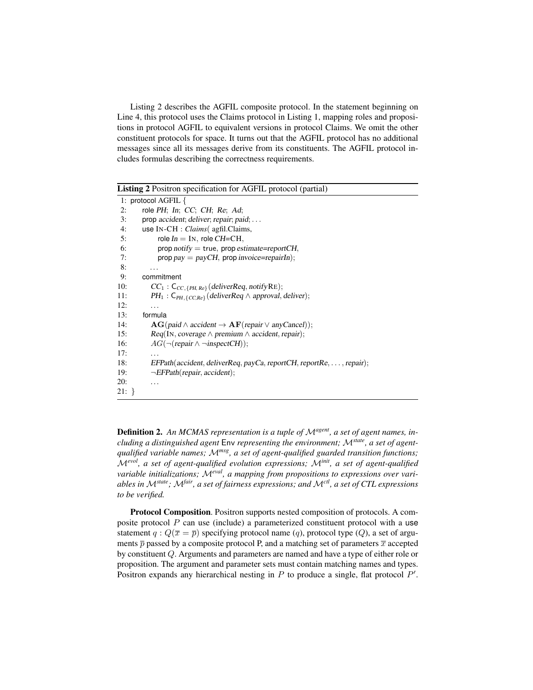Listing 2 describes the AGFIL composite protocol. In the statement beginning on Line 4, this protocol uses the Claims protocol in Listing 1, mapping roles and propositions in protocol AGFIL to equivalent versions in protocol Claims. We omit the other constituent protocols for space. It turns out that the AGFIL protocol has no additional messages since all its messages derive from its constituents. The AGFIL protocol includes formulas describing the correctness requirements.

| <b>Listing 2</b> Positron specification for AGFIL protocol (partial)       |  |  |  |  |  |  |
|----------------------------------------------------------------------------|--|--|--|--|--|--|
| 1: protocol AGFIL $\{$                                                     |  |  |  |  |  |  |
| role PH; In; CC; CH; Re; Ad;<br>2:                                         |  |  |  |  |  |  |
| prop accident; deliver; repair; paid;<br>3:                                |  |  |  |  |  |  |
| use IN-CH : Claims( agfil.Claims,<br>4:                                    |  |  |  |  |  |  |
| role $In = IN$ , role $CH=CH$ ,<br>5:                                      |  |  |  |  |  |  |
| 6:<br>prop notify $=$ true, prop estimate=reportCH,                        |  |  |  |  |  |  |
| prop $pay = payCH$ , prop invoice=repairIn);<br>7:                         |  |  |  |  |  |  |
| 8:<br>.                                                                    |  |  |  |  |  |  |
| 9:<br>commitment                                                           |  |  |  |  |  |  |
| $CC_1$ : $C_{CC, \{PH, Re\}}$ (deliver Req, notify RE);<br>10:             |  |  |  |  |  |  |
| $PH_1: C_{PH, \{CC, Re\}}$ (deliverReq $\wedge$ approval, deliver);<br>11: |  |  |  |  |  |  |
| 12:<br>.                                                                   |  |  |  |  |  |  |
| 13:<br>formula                                                             |  |  |  |  |  |  |
| $AG(paid \wedge accident \rightarrow AF(repair \vee anyCancel));$<br>14:   |  |  |  |  |  |  |
| $Req(In, coverage \wedge premium \wedge accident, repair);$<br>15:         |  |  |  |  |  |  |
| $AG(\neg(\text{ repair} \land \neg \text{inspectCH}));$<br>16:             |  |  |  |  |  |  |
| 17:<br>.                                                                   |  |  |  |  |  |  |
| EFPath(accident, deliverReq, payCa, reportCH, reportRe, , repair);<br>18:  |  |  |  |  |  |  |
| $\neg EFPath(repair, accident);$<br>19:                                    |  |  |  |  |  |  |
| 20:<br>.                                                                   |  |  |  |  |  |  |
| $21: \}$                                                                   |  |  |  |  |  |  |
|                                                                            |  |  |  |  |  |  |

Definition 2. *An MCMAS representation is a tuple of* M*agent, a set of agent names, including a distinguished agent* Env *representing the environment;* M*state, a set of agentqualified variable names;* M*msg, a set of agent-qualified guarded transition functions;* M*evol, a set of agent-qualified evolution expressions;* M*init, a set of agent-qualified variable initializations;* M*eval, a mapping from propositions to expressions over variables in* M*state;* M*fair, a set of fairness expressions; and* M*ctl, a set of CTL expressions to be verified.*

Protocol Composition. Positron supports nested composition of protocols. A composite protocol  $P$  can use (include) a parameterized constituent protocol with a use statement  $q: Q(\overline{x} = \overline{p})$  specifying protocol name (q), protocol type (Q), a set of arguments  $\bar{p}$  passed by a composite protocol P, and a matching set of parameters  $\bar{x}$  accepted by constituent Q. Arguments and parameters are named and have a type of either role or proposition. The argument and parameter sets must contain matching names and types. Positron expands any hierarchical nesting in  $P$  to produce a single, flat protocol  $P'$ .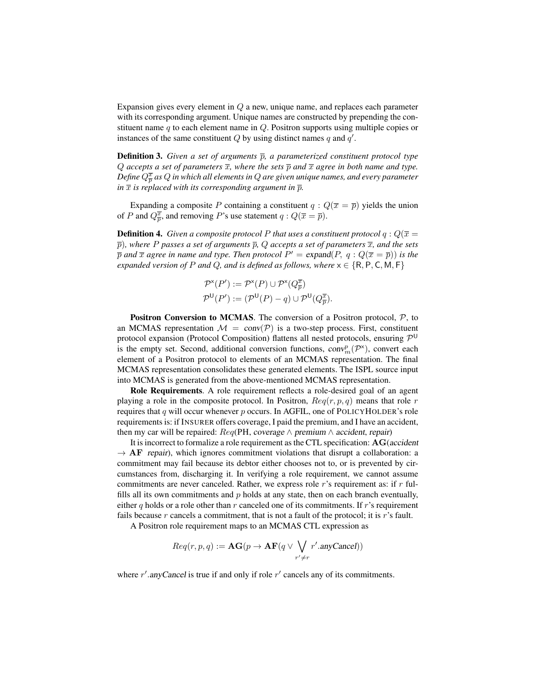Expansion gives every element in Q a new, unique name, and replaces each parameter with its corresponding argument. Unique names are constructed by prepending the constituent name  $q$  to each element name in  $Q$ . Positron supports using multiple copies or instances of the same constituent  $Q$  by using distinct names  $q$  and  $q'$ .

**Definition 3.** Given a set of arguments  $\bar{p}$ , a parameterized constituent protocol type Q accepts a set of parameters  $\bar{x}$ , where the sets  $\bar{p}$  and  $\bar{x}$  agree in both name and type. Define  $Q^{\overline{x}}_{\overline{p}}$  as  $Q$  in which all elements in  $Q$  are given unique names, and every parameter *in*  $\bar{x}$  *is replaced with its corresponding argument in*  $\bar{p}$ *.* 

Expanding a composite P containing a constituent  $q : Q(\overline{x} = \overline{p})$  yields the union of P and  $Q_{\overline{p}}^{\overline{x}}$ , and removing P's use statement  $q: Q(\overline{x} = \overline{p})$ .

**Definition 4.** *Given a composite protocol P that uses a constituent protocol*  $q: Q(\overline{x})$  $\bar{p}$ ), where P passes a set of arguments  $\bar{p}$ , Q accepts a set of parameters  $\bar{x}$ , and the sets  $\overline{p}$  and  $\overline{x}$  agree in name and type. Then protocol  $P' =$  expand $(P, q : Q(\overline{x} = \overline{p}))$  is the *expanded version of*  $P$  *and*  $Q$ *, and is defined as follows, where*  $x \in \{R, P, C, M, F\}$ 

$$
\mathcal{P}^{x}(P') := \mathcal{P}^{x}(P) \cup \mathcal{P}^{x}(Q_{\overline{p}}^{\overline{x}})
$$
  

$$
\mathcal{P}^{U}(P') := (\mathcal{P}^{U}(P) - q) \cup \mathcal{P}^{U}(Q_{\overline{p}}^{\overline{x}}).
$$

**Positron Conversion to MCMAS.** The conversion of a Positron protocol,  $P$ , to an MCMAS representation  $\mathcal{M} = \text{conv}(\mathcal{P})$  is a two-step process. First, constituent protocol expansion (Protocol Composition) flattens all nested protocols, ensuring  $\mathcal{P}^{\mathsf{U}}$ is the empty set. Second, additional conversion functions,  $conv_m^p(\mathcal{P}^{\times})$ , convert each element of a Positron protocol to elements of an MCMAS representation. The final MCMAS representation consolidates these generated elements. The ISPL source input into MCMAS is generated from the above-mentioned MCMAS representation.

Role Requirements. A role requirement reflects a role-desired goal of an agent playing a role in the composite protocol. In Positron,  $Req(r, p, q)$  means that role r requires that q will occur whenever  $p$  occurs. In AGFIL, one of POLICYHOLDER's role requirements is: if INSURER offers coverage, I paid the premium, and I have an accident, then my car will be repaired:  $Req$ (PH, coverage  $\land$  premium  $\land$  accident, repair)

It is incorrect to formalize a role requirement as the CTL specification: AG(accident  $\rightarrow$  AF repair), which ignores commitment violations that disrupt a collaboration: a commitment may fail because its debtor either chooses not to, or is prevented by circumstances from, discharging it. In verifying a role requirement, we cannot assume commitments are never canceled. Rather, we express role r's requirement as: if r fulfills all its own commitments and  $p$  holds at any state, then on each branch eventually, either q holds or a role other than r canceled one of its commitments. If r's requirement fails because r cancels a commitment, that is not a fault of the protocol; it is r's fault.

A Positron role requirement maps to an MCMAS CTL expression as

$$
Reg(r, p, q) := \mathbf{AG}(p \to \mathbf{AF}(q \lor \bigvee_{r' \neq r} r'.anyCancel))
$$

where  $r'$  any Cancel is true if and only if role  $r'$  cancels any of its commitments.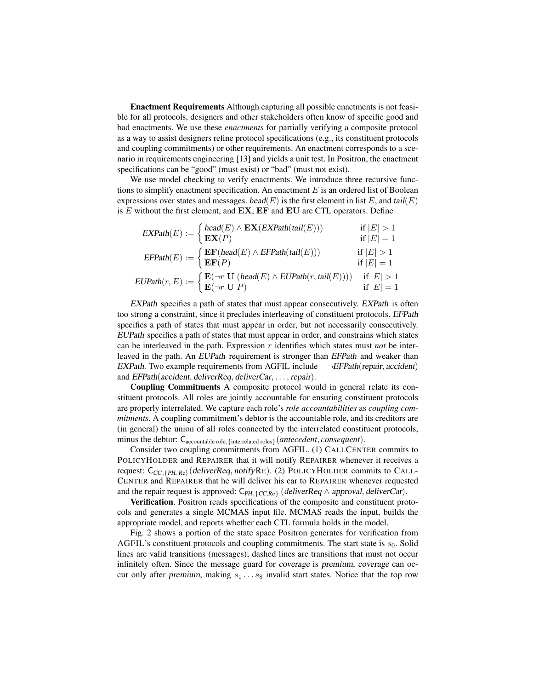Enactment Requirements Although capturing all possible enactments is not feasible for all protocols, designers and other stakeholders often know of specific good and bad enactments. We use these *enactments* for partially verifying a composite protocol as a way to assist designers refine protocol specifications (e.g., its constituent protocols and coupling commitments) or other requirements. An enactment corresponds to a scenario in requirements engineering [13] and yields a unit test. In Positron, the enactment specifications can be "good" (must exist) or "bad" (must not exist).

We use model checking to verify enactments. We introduce three recursive functions to simplify enactment specification. An enactment  $E$  is an ordered list of Boolean expressions over states and messages. head(E) is the first element in list E, and tail(E) is  $E$  without the first element, and  $EX$ ,  $EF$  and  $EU$  are CTL operators. Define

$$
\begin{aligned}\n\text{EXPath}(E) &:= \begin{cases}\n\text{head}(E) \land \text{EX}(\text{EXPath}(\text{tail}(E))) & \text{if } |E| > 1 \\
\text{EX}(P) & \text{if } |E| = 1\n\end{cases} \\
\text{EFPath}(E) &:= \begin{cases}\n\text{EF}(\text{head}(E) \land \text{EFPath}(\text{tail}(E))) & \text{if } |E| > 1 \\
\text{EF}(P) & \text{if } |E| = 1\n\end{cases}\n\end{aligned}
$$

$$
EUPath(r, E) := \begin{cases} \mathbf{E}(\neg r \ \mathbf{U} \ (head(E) \land EUPath(r, tail(E)))) & \text{if } |E| > 1 \\ \mathbf{E}(\neg r \ \mathbf{U} \ P) & \text{if } |E| = 1 \end{cases}
$$

EXPath specifies a path of states that must appear consecutively. EXPath is often too strong a constraint, since it precludes interleaving of constituent protocols. EFPath specifies a path of states that must appear in order, but not necessarily consecutively. EUPath specifies a path of states that must appear in order, and constrains which states can be interleaved in the path. Expression  $r$  identifies which states must *not* be interleaved in the path. An EUPath requirement is stronger than EFPath and weaker than EXPath. Two example requirements from AGFIL include  $\neg EFPath(repair, accident)$ and EFPath(accident, deliverReq, deliverCar, . . . , repair).

Coupling Commitments A composite protocol would in general relate its constituent protocols. All roles are jointly accountable for ensuring constituent protocols are properly interrelated. We capture each role's *role accountabilities* as *coupling commitments*. A coupling commitment's debtor is the accountable role, and its creditors are (in general) the union of all roles connected by the interrelated constituent protocols, minus the debtor: Caccountable role,{interrelated roles}(*antecedent*, *consequent*).

Consider two coupling commitments from AGFIL. (1) CALLCENTER commits to POLICYHOLDER and REPAIRER that it will notify REPAIRER whenever it receives a request:  $C_{CC, {PH, Re}}$  (deliverReq, notifyRE). (2) POLICYHOLDER commits to CALL-CENTER and REPAIRER that he will deliver his car to REPAIRER whenever requested and the repair request is approved:  $C_{PH, \{CC, Re\}}$  (deliverReq  $\wedge$  approval, deliverCar).

Verification. Positron reads specifications of the composite and constituent protocols and generates a single MCMAS input file. MCMAS reads the input, builds the appropriate model, and reports whether each CTL formula holds in the model.

Fig. 2 shows a portion of the state space Positron generates for verification from AGFIL's constituent protocols and coupling commitments. The start state is  $s_0$ . Solid lines are valid transitions (messages); dashed lines are transitions that must not occur infinitely often. Since the message guard for coverage is premium, coverage can occur only after premium, making  $s_1 \ldots s_8$  invalid start states. Notice that the top row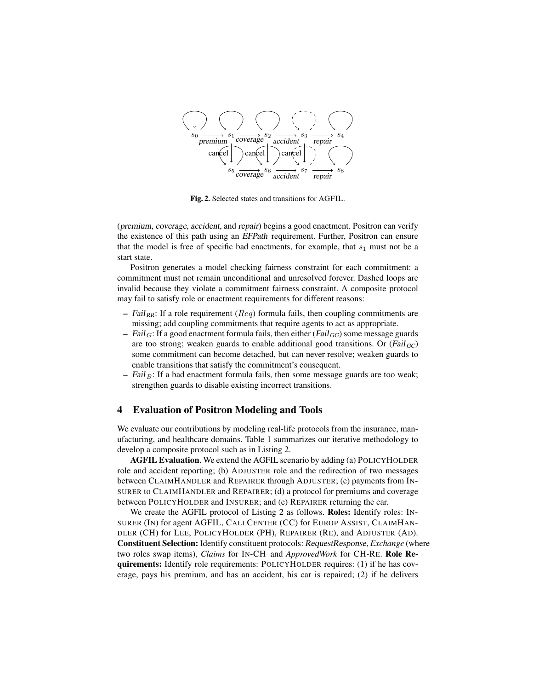

Fig. 2. Selected states and transitions for AGFIL.

(premium, coverage, accident, and repair) begins a good enactment. Positron can verify the existence of this path using an EFPath requirement. Further, Positron can ensure that the model is free of specific bad enactments, for example, that  $s_1$  must not be a start state.

Positron generates a model checking fairness constraint for each commitment: a commitment must not remain unconditional and unresolved forever. Dashed loops are invalid because they violate a commitment fairness constraint. A composite protocol may fail to satisfy role or enactment requirements for different reasons:

- Fail<sub>RR</sub>: If a role requirement (Req) formula fails, then coupling commitments are missing; add coupling commitments that require agents to act as appropriate.
- Fail<sub>G</sub>: If a good enactment formula fails, then either (Fail<sub>GG</sub>) some message guards are too strong; weaken guards to enable additional good transitions. Or  $(Fail_{GC})$ some commitment can become detached, but can never resolve; weaken guards to enable transitions that satisfy the commitment's consequent.
- Fail  $_B$ : If a bad enactment formula fails, then some message guards are too weak; strengthen guards to disable existing incorrect transitions.

## 4 Evaluation of Positron Modeling and Tools

We evaluate our contributions by modeling real-life protocols from the insurance, manufacturing, and healthcare domains. Table 1 summarizes our iterative methodology to develop a composite protocol such as in Listing 2.

AGFIL Evaluation. We extend the AGFIL scenario by adding (a) POLICYHOLDER role and accident reporting; (b) ADJUSTER role and the redirection of two messages between CLAIMHANDLER and REPAIRER through ADJUSTER; (c) payments from IN-SURER to CLAIMHANDLER and REPAIRER; (d) a protocol for premiums and coverage between POLICYHOLDER and INSURER; and (e) REPAIRER returning the car.

We create the AGFIL protocol of Listing 2 as follows. Roles: Identify roles: IN-SURER (IN) for agent AGFIL, CALLCENTER (CC) for EUROP ASSIST, CLAIMHAN-DLER (CH) for LEE, POLICYHOLDER (PH), REPAIRER (RE), and ADJUSTER (AD). Constituent Selection: Identify constituent protocols: RequestResponse, *Exchange* (where two roles swap items), *Claims* for IN-CH and *ApprovedWork* for CH-RE. Role Requirements: Identify role requirements: POLICYHOLDER requires: (1) if he has coverage, pays his premium, and has an accident, his car is repaired; (2) if he delivers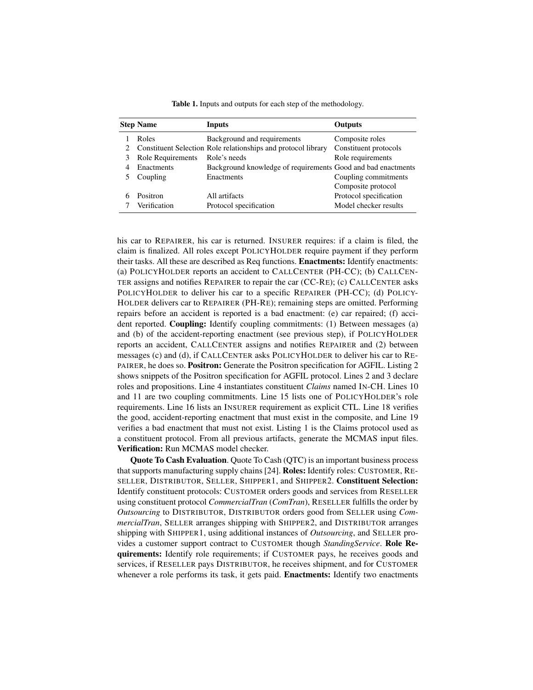|   | <b>Step Name</b>  | Inputs                                                        | <b>Outputs</b>         |
|---|-------------------|---------------------------------------------------------------|------------------------|
|   | Roles             | Background and requirements                                   | Composite roles        |
|   |                   | Constituent Selection Role relationships and protocol library | Constituent protocols  |
| 3 | Role Requirements | Role's needs                                                  | Role requirements      |
| 4 | Enactments        | Background knowledge of requirements Good and bad enactments  |                        |
|   | Coupling          | Enactments                                                    | Coupling commitments   |
|   |                   |                                                               | Composite protocol     |
|   | Positron          | All artifacts                                                 | Protocol specification |
|   | Verification      | Protocol specification                                        | Model checker results  |

Table 1. Inputs and outputs for each step of the methodology.

his car to REPAIRER, his car is returned. INSURER requires: if a claim is filed, the claim is finalized. All roles except POLICYHOLDER require payment if they perform their tasks. All these are described as Req functions. Enactments: Identify enactments: (a) POLICYHOLDER reports an accident to CALLCENTER (PH-CC); (b) CALLCEN-TER assigns and notifies REPAIRER to repair the car (CC-RE); (c) CALLCENTER asks POLICYHOLDER to deliver his car to a specific REPAIRER (PH-CC); (d) POLICY-HOLDER delivers car to REPAIRER (PH-RE); remaining steps are omitted. Performing repairs before an accident is reported is a bad enactment: (e) car repaired; (f) accident reported. Coupling: Identify coupling commitments: (1) Between messages (a) and (b) of the accident-reporting enactment (see previous step), if POLICYHOLDER reports an accident, CALLCENTER assigns and notifies REPAIRER and (2) between messages (c) and (d), if CALLCENTER asks POLICYHOLDER to deliver his car to RE-PAIRER, he does so. Positron: Generate the Positron specification for AGFIL. Listing 2 shows snippets of the Positron specification for AGFIL protocol. Lines 2 and 3 declare roles and propositions. Line 4 instantiates constituent *Claims* named IN-CH. Lines 10 and 11 are two coupling commitments. Line 15 lists one of POLICYHOLDER's role requirements. Line 16 lists an INSURER requirement as explicit CTL. Line 18 verifies the good, accident-reporting enactment that must exist in the composite, and Line 19 verifies a bad enactment that must not exist. Listing 1 is the Claims protocol used as a constituent protocol. From all previous artifacts, generate the MCMAS input files. Verification: Run MCMAS model checker.

Quote To Cash Evaluation. Quote To Cash (QTC) is an important business process that supports manufacturing supply chains [24]. Roles: Identify roles: CUSTOMER, RE-SELLER, DISTRIBUTOR, SELLER, SHIPPER1, and SHIPPER2. Constituent Selection: Identify constituent protocols: CUSTOMER orders goods and services from RESELLER using constituent protocol *CommercialTran* (*ComTran*), RESELLER fulfills the order by *Outsourcing* to DISTRIBUTOR, DISTRIBUTOR orders good from SELLER using *CommercialTran*, SELLER arranges shipping with SHIPPER2, and DISTRIBUTOR arranges shipping with SHIPPER1, using additional instances of *Outsourcing*, and SELLER provides a customer support contract to CUSTOMER though *StandingService*. Role Requirements: Identify role requirements; if CUSTOMER pays, he receives goods and services, if RESELLER pays DISTRIBUTOR, he receives shipment, and for CUSTOMER whenever a role performs its task, it gets paid. Enactments: Identify two enactments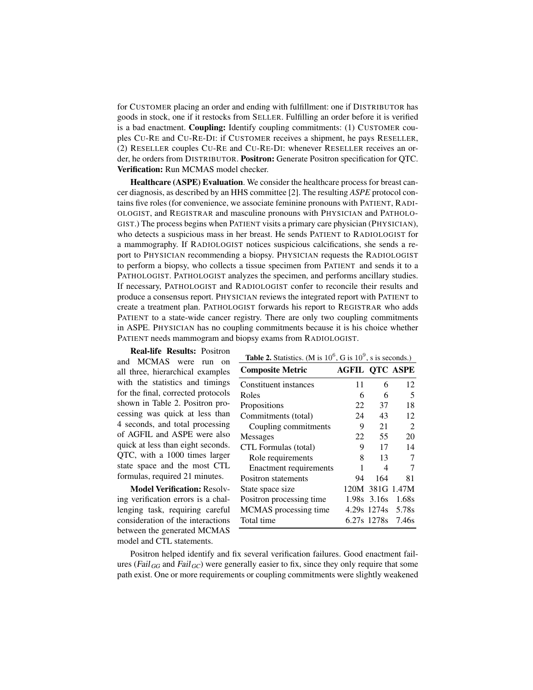for CUSTOMER placing an order and ending with fulfillment: one if DISTRIBUTOR has goods in stock, one if it restocks from SELLER. Fulfilling an order before it is verified is a bad enactment. **Coupling:** Identify coupling commitments: (1) CUSTOMER couples CU-RE and CU-RE-DI: if CUSTOMER receives a shipment, he pays RESELLER, (2) RESELLER couples CU-RE and CU-RE-DI: whenever RESELLER receives an order, he orders from DISTRIBUTOR. Positron: Generate Positron specification for QTC. Verification: Run MCMAS model checker.

Healthcare (ASPE) Evaluation. We consider the healthcare process for breast cancer diagnosis, as described by an HHS committee [2]. The resulting *ASPE* protocol contains five roles (for convenience, we associate feminine pronouns with PATIENT, RADI-OLOGIST, and REGISTRAR and masculine pronouns with PHYSICIAN and PATHOLO-GIST.) The process begins when PATIENT visits a primary care physician (PHYSICIAN), who detects a suspicious mass in her breast. He sends PATIENT to RADIOLOGIST for a mammography. If RADIOLOGIST notices suspicious calcifications, she sends a report to PHYSICIAN recommending a biopsy. PHYSICIAN requests the RADIOLOGIST to perform a biopsy, who collects a tissue specimen from PATIENT and sends it to a PATHOLOGIST. PATHOLOGIST analyzes the specimen, and performs ancillary studies. If necessary, PATHOLOGIST and RADIOLOGIST confer to reconcile their results and produce a consensus report. PHYSICIAN reviews the integrated report with PATIENT to create a treatment plan. PATHOLOGIST forwards his report to REGISTRAR who adds PATIENT to a state-wide cancer registry. There are only two coupling commitments in ASPE. PHYSICIAN has no coupling commitments because it is his choice whether PATIENT needs mammogram and biopsy exams from RADIOLOGIST.

Real-life Results: Positron and MCMAS were run on all three, hierarchical examples with the statistics and timings for the final, corrected protocols shown in Table 2. Positron processing was quick at less than 4 seconds, and total processing of AGFIL and ASPE were also quick at less than eight seconds. QTC, with a 1000 times larger state space and the most CTL formulas, required 21 minutes.

Model Verification: Resolving verification errors is a challenging task, requiring careful consideration of the interactions between the generated MCMAS model and CTL statements.

| <b>Table 2.</b> Statistics. (M is $10^6$ , G is $10^9$ , s is seconds.) |                       |             |                   |  |  |  |  |  |
|-------------------------------------------------------------------------|-----------------------|-------------|-------------------|--|--|--|--|--|
| <b>Composite Metric</b>                                                 | <b>AGFIL QTC ASPE</b> |             |                   |  |  |  |  |  |
| Constituent instances                                                   | 11                    | 6           | 12                |  |  |  |  |  |
| Roles                                                                   | 6                     | 6           | 5                 |  |  |  |  |  |
| <b>Propositions</b>                                                     | 22                    | 37          | 18                |  |  |  |  |  |
| Commitments (total)                                                     | 24                    | 43          | 12                |  |  |  |  |  |
| Coupling commitments                                                    | 9                     | 21          | 2                 |  |  |  |  |  |
| Messages                                                                | 22                    | 55          | 20                |  |  |  |  |  |
| CTL Formulas (total)                                                    | 9                     | 17          | 14                |  |  |  |  |  |
| Role requirements                                                       | 8                     | 13          | 7                 |  |  |  |  |  |
| <b>Enactment requirements</b>                                           | 1                     | 4           | 7                 |  |  |  |  |  |
| Positron statements                                                     | 94                    | 164         | 81                |  |  |  |  |  |
| State space size                                                        |                       |             | 120M 381G 1.47M   |  |  |  |  |  |
| Positron processing time                                                |                       |             | 1.98s 3.16s 1.68s |  |  |  |  |  |
| MCMAS processing time                                                   |                       |             | 4.29s 1274s 5.78s |  |  |  |  |  |
| Total time                                                              |                       | 6.27s 1278s | 7.46s             |  |  |  |  |  |

Positron helped identify and fix several verification failures. Good enactment failures (Fail  $_{GG}$  and Fail  $_{GC}$ ) were generally easier to fix, since they only require that some path exist. One or more requirements or coupling commitments were slightly weakened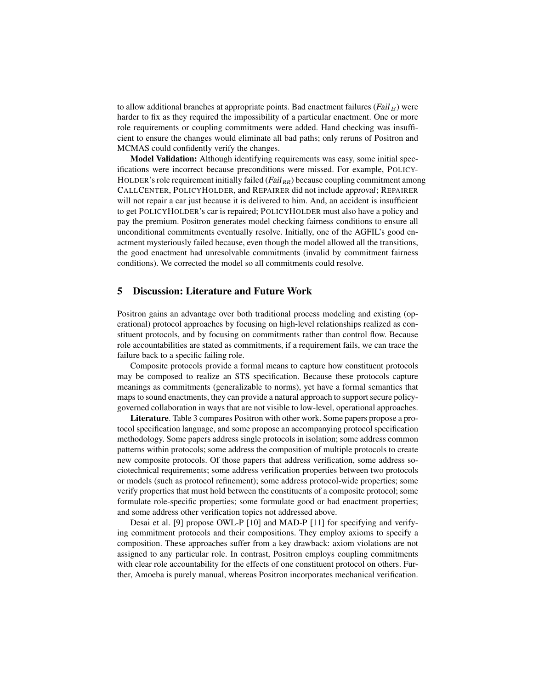to allow additional branches at appropriate points. Bad enactment failures ( $Fail_B$ ) were harder to fix as they required the impossibility of a particular enactment. One or more role requirements or coupling commitments were added. Hand checking was insufficient to ensure the changes would eliminate all bad paths; only reruns of Positron and MCMAS could confidently verify the changes.

Model Validation: Although identifying requirements was easy, some initial specifications were incorrect because preconditions were missed. For example, POLICY-HOLDER's role requirement initially failed ( $Fail_{RR}$ ) because coupling commitment among CALLCENTER, POLICYHOLDER, and REPAIRER did not include approval; REPAIRER will not repair a car just because it is delivered to him. And, an accident is insufficient to get POLICYHOLDER's car is repaired; POLICYHOLDER must also have a policy and pay the premium. Positron generates model checking fairness conditions to ensure all unconditional commitments eventually resolve. Initially, one of the AGFIL's good enactment mysteriously failed because, even though the model allowed all the transitions, the good enactment had unresolvable commitments (invalid by commitment fairness conditions). We corrected the model so all commitments could resolve.

#### 5 Discussion: Literature and Future Work

Positron gains an advantage over both traditional process modeling and existing (operational) protocol approaches by focusing on high-level relationships realized as constituent protocols, and by focusing on commitments rather than control flow. Because role accountabilities are stated as commitments, if a requirement fails, we can trace the failure back to a specific failing role.

Composite protocols provide a formal means to capture how constituent protocols may be composed to realize an STS specification. Because these protocols capture meanings as commitments (generalizable to norms), yet have a formal semantics that maps to sound enactments, they can provide a natural approach to support secure policygoverned collaboration in ways that are not visible to low-level, operational approaches.

Literature. Table 3 compares Positron with other work. Some papers propose a protocol specification language, and some propose an accompanying protocol specification methodology. Some papers address single protocols in isolation; some address common patterns within protocols; some address the composition of multiple protocols to create new composite protocols. Of those papers that address verification, some address sociotechnical requirements; some address verification properties between two protocols or models (such as protocol refinement); some address protocol-wide properties; some verify properties that must hold between the constituents of a composite protocol; some formulate role-specific properties; some formulate good or bad enactment properties; and some address other verification topics not addressed above.

Desai et al. [9] propose OWL-P [10] and MAD-P [11] for specifying and verifying commitment protocols and their compositions. They employ axioms to specify a composition. These approaches suffer from a key drawback: axiom violations are not assigned to any particular role. In contrast, Positron employs coupling commitments with clear role accountability for the effects of one constituent protocol on others. Further, Amoeba is purely manual, whereas Positron incorporates mechanical verification.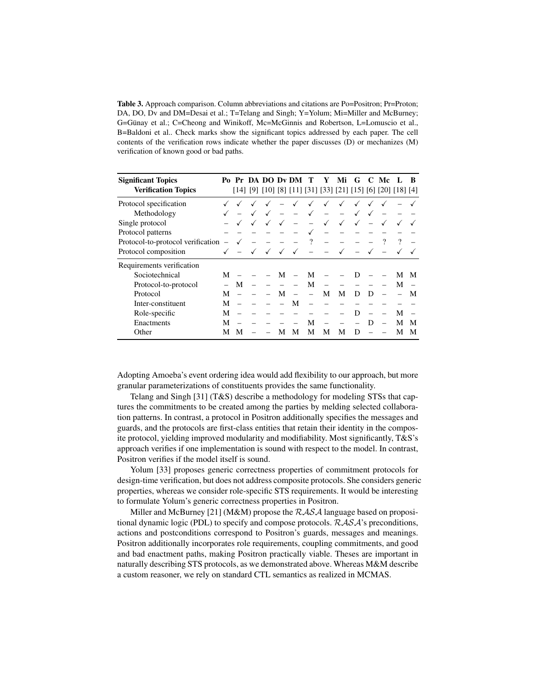Table 3. Approach comparison. Column abbreviations and citations are Po=Positron; Pr=Proton; DA, DO, Dv and DM=Desai et al.; T=Telang and Singh; Y=Yolum; Mi=Miller and McBurney; G=Günay et al.; C=Cheong and Winikoff, Mc=McGinnis and Robertson, L=Lomuscio et al., B=Baldoni et al.. Check marks show the significant topics addressed by each paper. The cell contents of the verification rows indicate whether the paper discusses (D) or mechanizes (M) verification of known good or bad paths.

| <b>Significant Topics</b><br><b>Verification Topics</b> |   |   | Po Pr DA DO Dv DM |              | $[14] [9] [10] [8] [11] [31] [33] [21] [15] [6] [20] [18] [4]$ | т        | Y | Mi | G | C | - Mc |   | B |
|---------------------------------------------------------|---|---|-------------------|--------------|----------------------------------------------------------------|----------|---|----|---|---|------|---|---|
| Protocol specification                                  |   |   |                   |              |                                                                |          |   |    |   |   |      |   |   |
| Methodology                                             |   |   |                   |              |                                                                |          |   |    |   |   |      |   |   |
| Single protocol                                         |   |   | $\checkmark$      |              |                                                                |          |   | ✓  |   |   |      |   |   |
| Protocol patterns                                       |   |   |                   |              |                                                                |          |   |    |   |   |      |   |   |
| Protocol-to-protocol verification                       |   |   |                   |              |                                                                | $\gamma$ |   |    |   |   | ?    | ? |   |
| Protocol composition                                    |   |   | $\checkmark$      | $\checkmark$ | $\checkmark$                                                   |          |   |    |   |   |      |   |   |
| Requirements verification                               |   |   |                   |              |                                                                |          |   |    |   |   |      |   |   |
| Sociotechnical                                          | М |   |                   | M            |                                                                | M        |   |    | D |   |      | М | M |
| Protocol-to-protocol                                    |   | М |                   |              |                                                                | М        |   |    |   |   |      | М |   |
| Protocol                                                | М |   |                   | M            |                                                                |          | M | M  | D | D |      |   | M |
| Inter-constituent                                       | М |   |                   |              | М                                                              |          |   |    |   |   |      |   |   |
| Role-specific                                           | М |   |                   |              |                                                                |          |   |    |   |   |      | M |   |
| Enactments                                              | М |   |                   |              |                                                                | М        |   |    |   | D |      | М |   |
| Other                                                   | М | M |                   | М            | М                                                              | М        | М | М  | D |   |      | М | M |

Adopting Amoeba's event ordering idea would add flexibility to our approach, but more granular parameterizations of constituents provides the same functionality.

Telang and Singh [31] (T&S) describe a methodology for modeling STSs that captures the commitments to be created among the parties by melding selected collaboration patterns. In contrast, a protocol in Positron additionally specifies the messages and guards, and the protocols are first-class entities that retain their identity in the composite protocol, yielding improved modularity and modifiability. Most significantly, T&S's approach verifies if one implementation is sound with respect to the model. In contrast, Positron verifies if the model itself is sound.

Yolum [33] proposes generic correctness properties of commitment protocols for design-time verification, but does not address composite protocols. She considers generic properties, whereas we consider role-specific STS requirements. It would be interesting to formulate Yolum's generic correctness properties in Positron.

Miller and McBurney [21] (M&M) propose the  $RASA$  language based on propositional dynamic logic (PDL) to specify and compose protocols. RASA's preconditions, actions and postconditions correspond to Positron's guards, messages and meanings. Positron additionally incorporates role requirements, coupling commitments, and good and bad enactment paths, making Positron practically viable. Theses are important in naturally describing STS protocols, as we demonstrated above. Whereas M&M describe a custom reasoner, we rely on standard CTL semantics as realized in MCMAS.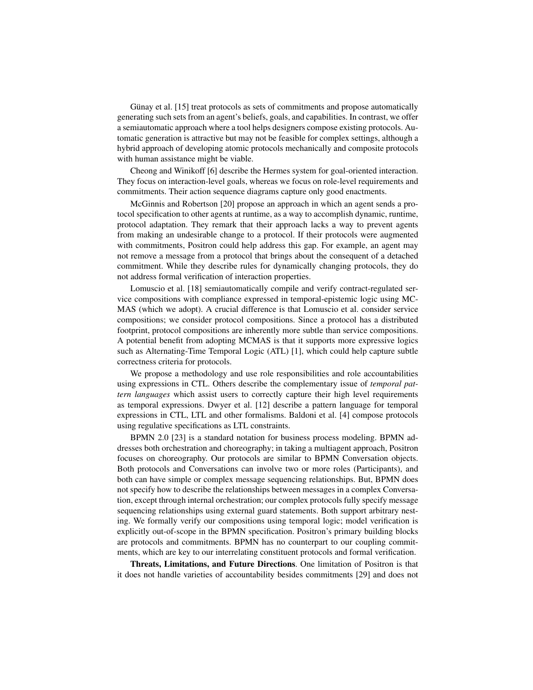Günay et al. [15] treat protocols as sets of commitments and propose automatically generating such sets from an agent's beliefs, goals, and capabilities. In contrast, we offer a semiautomatic approach where a tool helps designers compose existing protocols. Automatic generation is attractive but may not be feasible for complex settings, although a hybrid approach of developing atomic protocols mechanically and composite protocols with human assistance might be viable.

Cheong and Winikoff [6] describe the Hermes system for goal-oriented interaction. They focus on interaction-level goals, whereas we focus on role-level requirements and commitments. Their action sequence diagrams capture only good enactments.

McGinnis and Robertson [20] propose an approach in which an agent sends a protocol specification to other agents at runtime, as a way to accomplish dynamic, runtime, protocol adaptation. They remark that their approach lacks a way to prevent agents from making an undesirable change to a protocol. If their protocols were augmented with commitments, Positron could help address this gap. For example, an agent may not remove a message from a protocol that brings about the consequent of a detached commitment. While they describe rules for dynamically changing protocols, they do not address formal verification of interaction properties.

Lomuscio et al. [18] semiautomatically compile and verify contract-regulated service compositions with compliance expressed in temporal-epistemic logic using MC-MAS (which we adopt). A crucial difference is that Lomuscio et al. consider service compositions; we consider protocol compositions. Since a protocol has a distributed footprint, protocol compositions are inherently more subtle than service compositions. A potential benefit from adopting MCMAS is that it supports more expressive logics such as Alternating-Time Temporal Logic (ATL) [1], which could help capture subtle correctness criteria for protocols.

We propose a methodology and use role responsibilities and role accountabilities using expressions in CTL. Others describe the complementary issue of *temporal pattern languages* which assist users to correctly capture their high level requirements as temporal expressions. Dwyer et al. [12] describe a pattern language for temporal expressions in CTL, LTL and other formalisms. Baldoni et al. [4] compose protocols using regulative specifications as LTL constraints.

BPMN 2.0 [23] is a standard notation for business process modeling. BPMN addresses both orchestration and choreography; in taking a multiagent approach, Positron focuses on choreography. Our protocols are similar to BPMN Conversation objects. Both protocols and Conversations can involve two or more roles (Participants), and both can have simple or complex message sequencing relationships. But, BPMN does not specify how to describe the relationships between messages in a complex Conversation, except through internal orchestration; our complex protocols fully specify message sequencing relationships using external guard statements. Both support arbitrary nesting. We formally verify our compositions using temporal logic; model verification is explicitly out-of-scope in the BPMN specification. Positron's primary building blocks are protocols and commitments. BPMN has no counterpart to our coupling commitments, which are key to our interrelating constituent protocols and formal verification.

Threats, Limitations, and Future Directions. One limitation of Positron is that it does not handle varieties of accountability besides commitments [29] and does not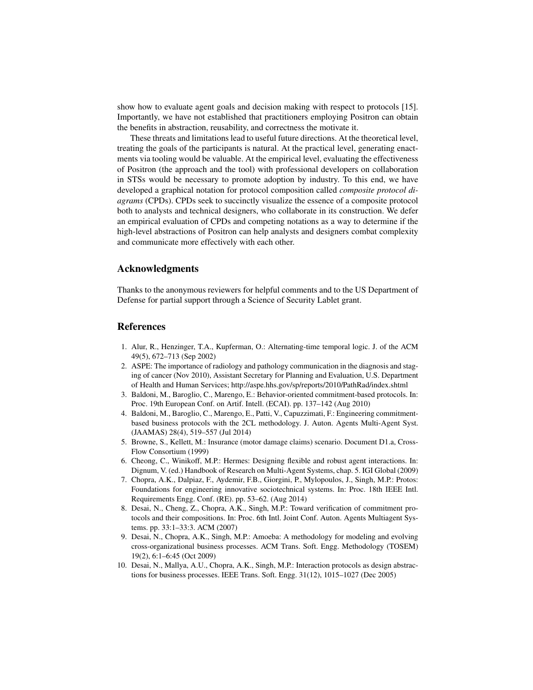show how to evaluate agent goals and decision making with respect to protocols [15]. Importantly, we have not established that practitioners employing Positron can obtain the benefits in abstraction, reusability, and correctness the motivate it.

These threats and limitations lead to useful future directions. At the theoretical level, treating the goals of the participants is natural. At the practical level, generating enactments via tooling would be valuable. At the empirical level, evaluating the effectiveness of Positron (the approach and the tool) with professional developers on collaboration in STSs would be necessary to promote adoption by industry. To this end, we have developed a graphical notation for protocol composition called *composite protocol diagrams* (CPDs). CPDs seek to succinctly visualize the essence of a composite protocol both to analysts and technical designers, who collaborate in its construction. We defer an empirical evaluation of CPDs and competing notations as a way to determine if the high-level abstractions of Positron can help analysts and designers combat complexity and communicate more effectively with each other.

#### Acknowledgments

Thanks to the anonymous reviewers for helpful comments and to the US Department of Defense for partial support through a Science of Security Lablet grant.

#### References

- 1. Alur, R., Henzinger, T.A., Kupferman, O.: Alternating-time temporal logic. J. of the ACM 49(5), 672–713 (Sep 2002)
- 2. ASPE: The importance of radiology and pathology communication in the diagnosis and staging of cancer (Nov 2010), Assistant Secretary for Planning and Evaluation, U.S. Department of Health and Human Services; http://aspe.hhs.gov/sp/reports/2010/PathRad/index.shtml
- 3. Baldoni, M., Baroglio, C., Marengo, E.: Behavior-oriented commitment-based protocols. In: Proc. 19th European Conf. on Artif. Intell. (ECAI). pp. 137–142 (Aug 2010)
- 4. Baldoni, M., Baroglio, C., Marengo, E., Patti, V., Capuzzimati, F.: Engineering commitmentbased business protocols with the 2CL methodology. J. Auton. Agents Multi-Agent Syst. (JAAMAS) 28(4), 519–557 (Jul 2014)
- 5. Browne, S., Kellett, M.: Insurance (motor damage claims) scenario. Document D1.a, Cross-Flow Consortium (1999)
- 6. Cheong, C., Winikoff, M.P.: Hermes: Designing flexible and robust agent interactions. In: Dignum, V. (ed.) Handbook of Research on Multi-Agent Systems, chap. 5. IGI Global (2009)
- 7. Chopra, A.K., Dalpiaz, F., Aydemir, F.B., Giorgini, P., Mylopoulos, J., Singh, M.P.: Protos: Foundations for engineering innovative sociotechnical systems. In: Proc. 18th IEEE Intl. Requirements Engg. Conf. (RE). pp. 53–62. (Aug 2014)
- 8. Desai, N., Cheng, Z., Chopra, A.K., Singh, M.P.: Toward verification of commitment protocols and their compositions. In: Proc. 6th Intl. Joint Conf. Auton. Agents Multiagent Systems. pp. 33:1–33:3. ACM (2007)
- 9. Desai, N., Chopra, A.K., Singh, M.P.: Amoeba: A methodology for modeling and evolving cross-organizational business processes. ACM Trans. Soft. Engg. Methodology (TOSEM) 19(2), 6:1–6:45 (Oct 2009)
- 10. Desai, N., Mallya, A.U., Chopra, A.K., Singh, M.P.: Interaction protocols as design abstractions for business processes. IEEE Trans. Soft. Engg. 31(12), 1015–1027 (Dec 2005)